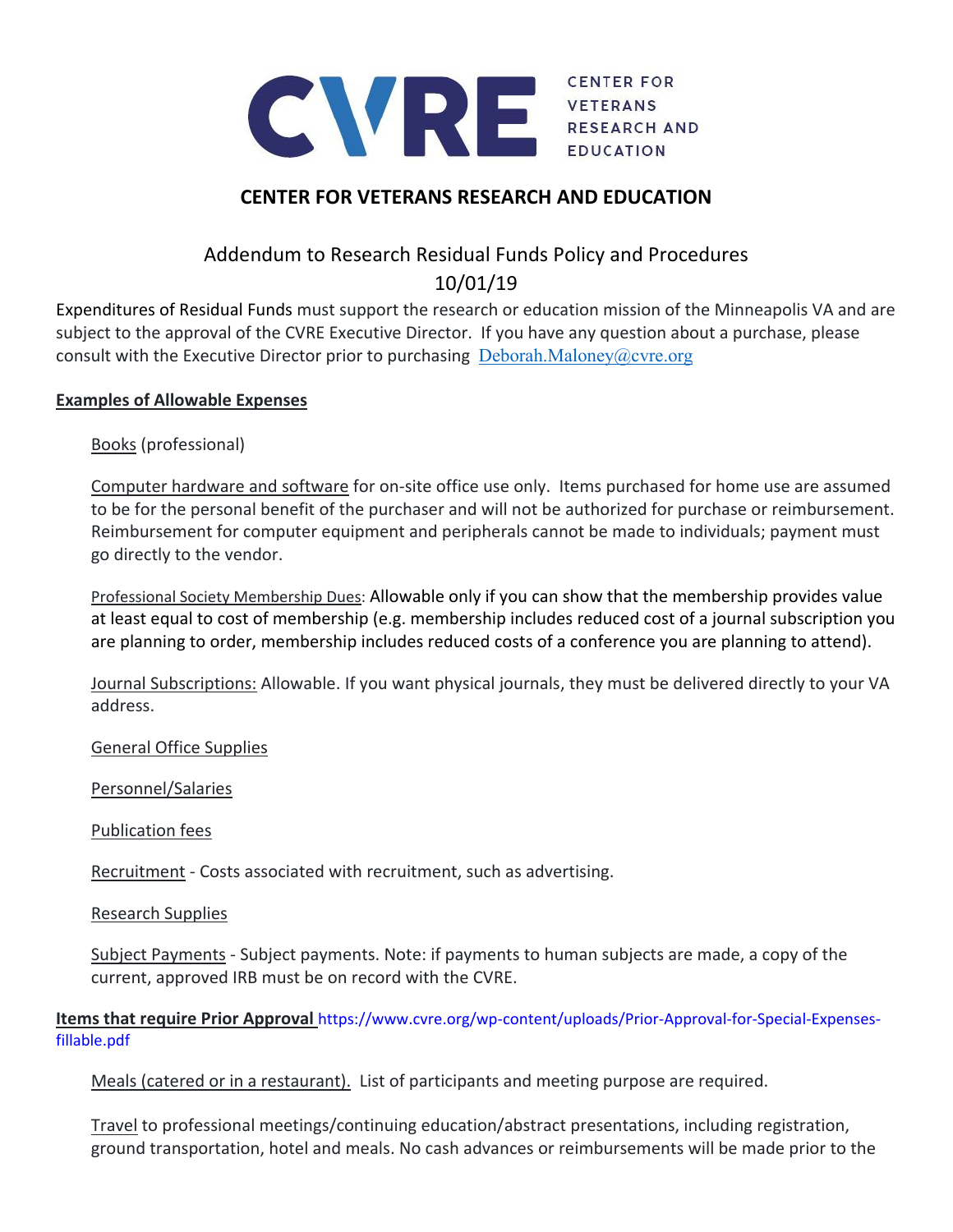

## **CENTER FOR VETERANS RESEARCH AND EDUCATION**

# Addendum to Research Residual Funds Policy and Procedures 10/01/19

Expenditures of Residual Funds must support the research or education mission of the Minneapolis VA and are subject to the approval of the CVRE Executive Director. If you have any question about a purchase, please consult with the Executive Director prior to purchasing  $Deborah.Maloney@cvre.org$ 

### **Examples of Allowable Expenses**

Books (professional)

Computer hardware and software for on-site office use only. Items purchased for home use are assumed to be for the personal benefit of the purchaser and will not be authorized for purchase or reimbursement. Reimbursement for computer equipment and peripherals cannot be made to individuals; payment must go directly to the vendor.

Professional Society Membership Dues: Allowable only if you can show that the membership provides value at least equal to cost of membership (e.g. membership includes reduced cost of a journal subscription you are planning to order, membership includes reduced costs of a conference you are planning to attend).

Journal Subscriptions: Allowable. If you want physical journals, they must be delivered directly to your VA address.

General Office Supplies

Personnel/Salaries

Publication fees

Recruitment ‐ Costs associated with recruitment, such as advertising.

Research Supplies

Subject Payments ‐ Subject payments. Note: if payments to human subjects are made, a copy of the current, approved IRB must be on record with the CVRE.

**Items that require Prior Approval** https://www.cvre.org/wp‐content/uploads/Prior‐Approval‐for‐Special‐Expenses‐ fillable.pdf

Meals (catered or in a restaurant). List of participants and meeting purpose are required.

Travel to professional meetings/continuing education/abstract presentations, including registration, ground transportation, hotel and meals. No cash advances or reimbursements will be made prior to the